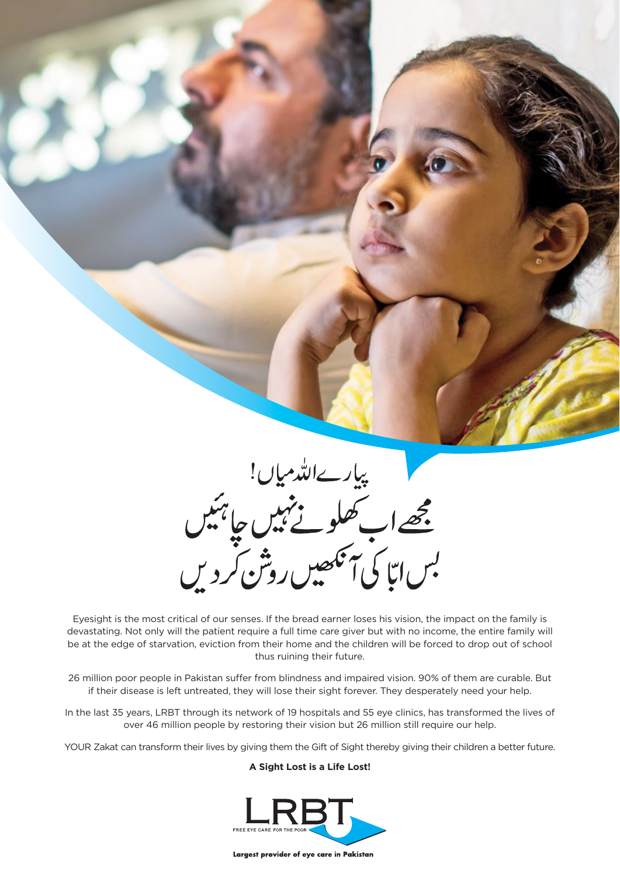

Eyesight is the most critical of our senses. If the bread earner loses his vision, the impact on the family is devastating. Not only will the patient require a full time care giver but with no income, the entire family will be at the edge of starvation, eviction from their home and the children will be forced to drop out of school thus ruining their future.

26 million poor people in Pakistan suffer from blindness and impaired vision. 90% of them are curable. But if their disease is left untreated, they will lose their sight forever. They desperately need your help.

In the last 35 years, LRBT through its network of 19 hospitals and 55 eye clinics, has transformed the lives of over 46 million people by restoring their vision but 26 million still require our help.

YOUR Zakat can transform their lives by giving them the Gift of Sight thereby giving their children a better future.

**A Sight Lost is a Life Lost!**



Largest provider of eye care in Pakistan